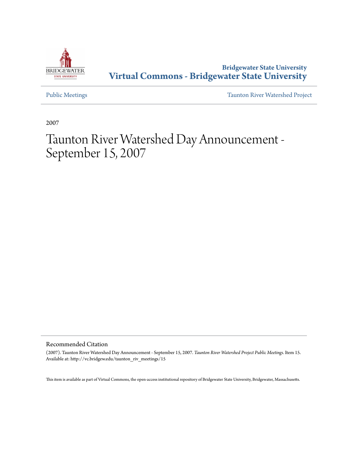

**Bridgewater State University [Virtual Commons - Bridgewater State University](http://vc.bridgew.edu)**

[Public Meetings](http://vc.bridgew.edu/taunton_riv_meetings) [Taunton River Watershed Project](http://vc.bridgew.edu/taunton_riv)

2007

## Taunton River Watershed Day Announcement - September 15, 2007

Recommended Citation

(2007). Taunton River Watershed Day Announcement - September 15, 2007. *Taunton River Watershed Project Public Meetings.* Item 15. Available at: http://vc.bridgew.edu/taunton\_riv\_meetings/15

This item is available as part of Virtual Commons, the open-access institutional repository of Bridgewater State University, Bridgewater, Massachusetts.